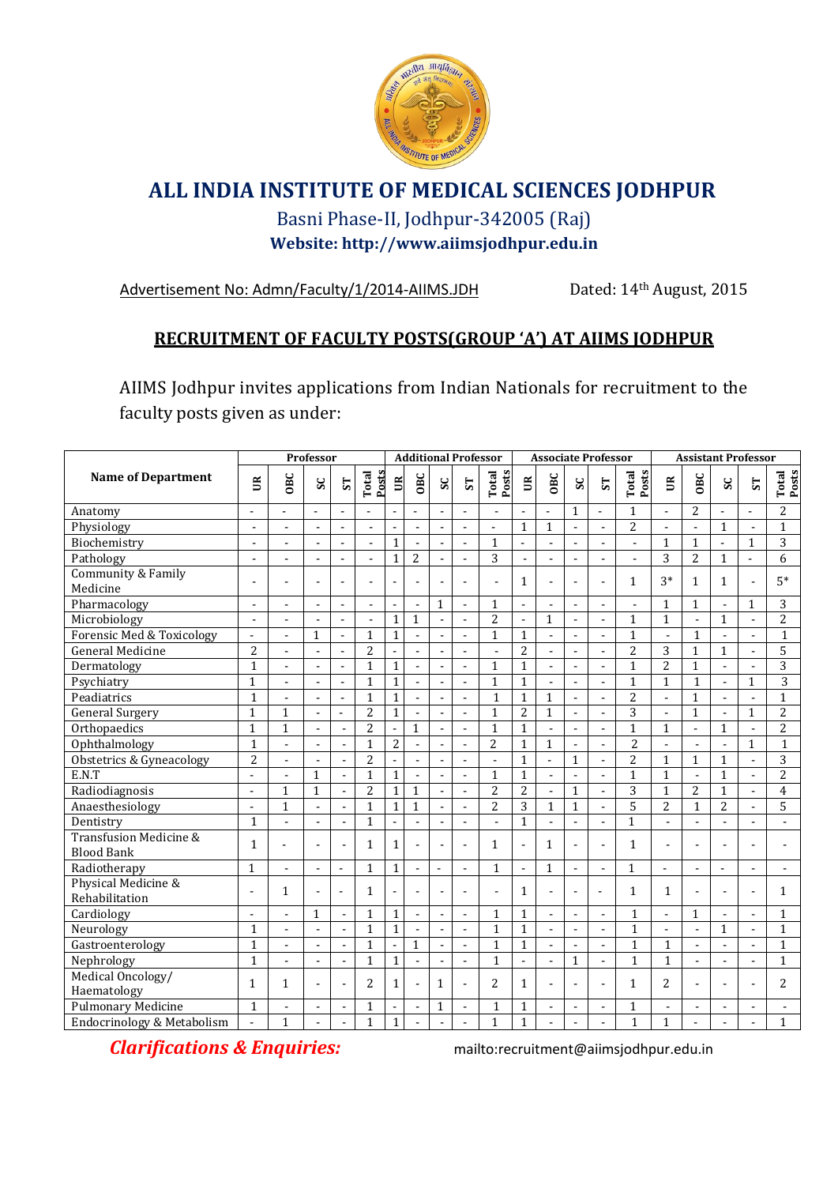

## **ALL INDIA INSTITUTE OF MEDICAL SCIENCES JODHPUR**

## Basni Phase-II, Jodhpur-342005 (Raj) **Website: http://www.aiimsjodhpur.edu.in**

Advertisement No: Admn/Faculty/1/2014-AIIMS.JDH Dated: 14th August, 2015

## **RECRUITMENT OF FACULTY POSTS(GROUP 'A') AT AIIMS JODHPUR**

AIIMS Jodhpur invites applications from Indian Nationals for recruitment to the faculty posts given as under:

|                                             |                          | Professor                |                          |                          |                | <b>Additional Professor</b> |                |                          |                          | <b>Associate Professor</b> |                 |                          |                |                          | <b>Assistant Professor</b> |                   |                          |                |                |                |
|---------------------------------------------|--------------------------|--------------------------|--------------------------|--------------------------|----------------|-----------------------------|----------------|--------------------------|--------------------------|----------------------------|-----------------|--------------------------|----------------|--------------------------|----------------------------|-------------------|--------------------------|----------------|----------------|----------------|
| <b>Name of Department</b>                   | $\widetilde{\mathbb{E}}$ | <b>OBC</b>               | $\mathbf{s}$             | $\overline{S}$           | Posts<br>Total | $\mathbb{B}$                | <b>OBC</b>     | SC                       | 57                       | Posts<br>Total             | $\mathbbmss{S}$ | <b>OBC</b>               | $\mathbf{s}$   | $5\overline{1}$          | Posts<br>Total             | $\widetilde{\Xi}$ | <b>OBC</b>               | $\mathbf{s}$   | $S$ T          | Total<br>Posts |
| Anatomy                                     | $\overline{a}$           |                          |                          | $\overline{a}$           | $\overline{a}$ |                             |                | $\overline{a}$           |                          | $\overline{a}$             |                 |                          | $\mathbf{1}$   | $\overline{a}$           | $\mathbf{1}$               |                   | 2                        |                |                | 2              |
| Physiology                                  | $\blacksquare$           | $\overline{a}$           | $\overline{a}$           | $\sim$                   | $\overline{a}$ | L,                          | $\overline{a}$ | $\blacksquare$           | ÷.                       | $\overline{a}$             | $\mathbf{1}$    | 1                        | $\sim$         | $\blacksquare$           | $\overline{2}$             | $\blacksquare$    | $\blacksquare$           | 1              | $\overline{a}$ | $\mathbf{1}$   |
| Biochemistry                                | $\overline{a}$           |                          |                          | $\sim$                   | $\overline{a}$ | $\mathbf{1}$                | $\overline{a}$ | $\overline{\phantom{a}}$ | $\overline{a}$           | $\mathbf{1}$               | $\overline{a}$  |                          | $\overline{a}$ | $\overline{a}$           | $\blacksquare$             | $\mathbf{1}$      | $\mathbf{1}$             | $\overline{a}$ | $\mathbf{1}$   | 3              |
| Pathology                                   | $\overline{a}$           |                          | $\overline{a}$           | $\overline{\phantom{a}}$ | $\overline{a}$ | $\mathbf{1}$                | $\overline{c}$ | $\overline{\phantom{a}}$ | ÷,                       | 3                          | $\blacksquare$  | $\overline{a}$           | $\blacksquare$ | $\blacksquare$           | $\overline{a}$             | 3                 | $\overline{2}$           | $\mathbf{1}$   | $\overline{a}$ | 6              |
| Community & Family<br>Medicine              |                          |                          |                          |                          |                |                             |                | $\overline{a}$           |                          |                            | 1               | L,                       |                |                          | 1                          | $3*$              | $\mathbf{1}$             | $\mathbf{1}$   |                | $5*$           |
| Pharmacology                                | $\overline{a}$           |                          | $\overline{a}$           | $\overline{\phantom{a}}$ | $\overline{a}$ | ٠                           | $\overline{a}$ | $\mathbf{1}$             | ÷,                       | $\mathbf{1}$               | $\sim$          | $\overline{a}$           | $\overline{a}$ | $\overline{a}$           |                            | $\mathbf{1}$      | $\mathbf{1}$             | $\overline{a}$ | $\mathbf{1}$   | 3              |
| Microbiology                                | $\blacksquare$           |                          |                          | $\overline{\phantom{a}}$ | $\overline{a}$ | $\mathbf{1}$                | $\mathbf{1}$   | $\sim$                   | $\overline{a}$           | $\overline{c}$             | $\sim$          | $\mathbf{1}$             | $\sim$         | $\blacksquare$           | $\mathbf{1}$               | $\mathbf{1}$      | $\overline{\phantom{a}}$ | $\mathbf{1}$   |                | 2              |
| <b>Forensic Med &amp; Toxicology</b>        | $\sim$                   |                          | $\mathbf{1}$             | $\overline{\phantom{a}}$ | $\mathbf{1}$   | $\mathbf{1}$                | $\overline{a}$ | $\sim$                   | ÷,                       | $\mathbf{1}$               | $\mathbf{1}$    |                          | $\sim$         | $\blacksquare$           | $\mathbf{1}$               | $\overline{a}$    | $\mathbf{1}$             |                |                | $\mathbf{1}$   |
| <b>General Medicine</b>                     | $\overline{2}$           | $\overline{a}$           | $\blacksquare$           | $\sim$                   | $\overline{2}$ |                             | $\overline{a}$ | $\sim$                   | $\overline{\phantom{a}}$ | $\overline{a}$             | $\overline{2}$  | $\blacksquare$           | $\sim$         | $\sim$                   | $\overline{2}$             | $\overline{3}$    | $\mathbf{1}$             | $\mathbf{1}$   | $\overline{a}$ | $\overline{5}$ |
| Dermatology                                 | $\mathbf{1}$             | $\overline{\phantom{0}}$ | $\blacksquare$           | $\sim$                   | $\mathbf{1}$   | $\mathbf{1}$                | $\overline{a}$ | $\sim$                   | $\overline{\phantom{a}}$ | $\mathbf{1}$               | $\mathbf{1}$    | $\blacksquare$           | $\sim$         | $\blacksquare$           | $\mathbf{1}$               | $\overline{2}$    | $\mathbf{1}$             | $\overline{a}$ | $\overline{a}$ | 3              |
| Psychiatry                                  | $\mathbf{1}$             |                          |                          |                          | $\mathbf{1}$   | $\mathbf{1}$                |                |                          |                          | $\mathbf{1}$               | $\mathbf{1}$    |                          |                |                          | $\mathbf{1}$               | $\mathbf{1}$      | $\mathbf{1}$             |                | $\mathbf{1}$   | 3              |
| Peadiatrics                                 | $\mathbf{1}$             |                          | $\overline{a}$           | $\overline{a}$           | $\mathbf{1}$   | $\mathbf{1}$                | $\overline{a}$ | $\overline{a}$           | $\overline{a}$           | $\mathbf{1}$               | $\mathbf{1}$    | $\mathbf{1}$             | $\overline{a}$ | $\overline{a}$           | $\overline{2}$             | $\overline{a}$    | $\mathbf{1}$             | $\overline{a}$ |                | $\mathbf{1}$   |
| General Surgery                             | $\mathbf{1}$             | $\mathbf{1}$             | $\blacksquare$           | $\overline{a}$           | $\overline{2}$ | $\mathbf{1}$                | $\overline{a}$ | $\overline{\phantom{a}}$ | $\overline{a}$           | $\mathbf{1}$               | $\overline{2}$  | $\mathbf{1}$             | $\sim$         | $\overline{a}$           | $\overline{3}$             | $\overline{a}$    | $\mathbf{1}$             | $\overline{a}$ | $\mathbf{1}$   | $\overline{2}$ |
| Orthopaedics                                | $\mathbf{1}$             | $\overline{1}$           |                          | $\overline{\phantom{a}}$ | $\overline{2}$ |                             | $\mathbf{1}$   | $\overline{a}$           |                          | $\mathbf{1}$               | $\mathbf{1}$    |                          |                |                          | $\mathbf{1}$               | $\mathbf{1}$      | $\overline{a}$           | $\mathbf{1}$   |                | $\overline{2}$ |
| Ophthalmology                               | $\mathbf{1}$             | $\overline{a}$           | $\blacksquare$           | $\sim$                   | $\mathbf{1}$   | $\overline{2}$              | $\overline{a}$ | $\overline{\phantom{a}}$ | $\blacksquare$           | $\overline{2}$             | $\mathbf{1}$    | $\mathbf{1}$             | $\blacksquare$ | $\sim$                   | $\overline{2}$             | $\overline{a}$    | $\blacksquare$           | $\overline{a}$ | $\mathbf{1}$   | $\mathbf{1}$   |
| Obstetrics & Gyneacology                    | $\overline{2}$           | $\overline{a}$           |                          | $\overline{a}$           | $\overline{2}$ |                             |                |                          |                          |                            | $\mathbf{1}$    | $\overline{a}$           | $\mathbf{1}$   | $\overline{a}$           | $\overline{2}$             | $\mathbf{1}$      | $\mathbf{1}$             | $\mathbf{1}$   |                | $\overline{3}$ |
| E.N.T                                       | $\overline{\phantom{a}}$ | ÷                        | $\mathbf{1}$             | $\overline{a}$           | $\mathbf{1}$   | $\mathbf{1}$                |                | $\overline{a}$           |                          | $\mathbf{1}$               | $\mathbf{1}$    | $\overline{a}$           |                | $\overline{\phantom{a}}$ | $\overline{1}$             | $\mathbf{1}$      | $\overline{a}$           | $\mathbf{1}$   |                | $\overline{2}$ |
| Radiodiagnosis                              | $\overline{\phantom{a}}$ | $\mathbf{1}$             | $\mathbf{1}$             | $\overline{a}$           | $\overline{2}$ | $\mathbf{1}$                | $\mathbf{1}$   | $\overline{a}$           | ÷,                       | $\overline{c}$             | $\overline{c}$  | $\overline{\phantom{a}}$ | $\mathbf{1}$   | $\blacksquare$           | $\overline{3}$             | $\mathbf{1}$      | $\overline{c}$           | $\mathbf{1}$   |                | $\overline{4}$ |
| Anaesthesiology                             | $\blacksquare$           | $\overline{1}$           | $\overline{a}$           | $\overline{a}$           | $\mathbf{1}$   | $\mathbf{1}$                | $\mathbf{1}$   | $\overline{\phantom{a}}$ | $\overline{a}$           | $\overline{2}$             | $\overline{3}$  | $\mathbf{1}$             | $\mathbf{1}$   | $\blacksquare$           | $\overline{5}$             | $\overline{2}$    | $\mathbf{1}$             | $\overline{2}$ |                | $\overline{5}$ |
| Dentistry                                   | $\mathbf{1}$             | $\blacksquare$           | $\overline{a}$           | $\overline{a}$           | $\mathbf{1}$   |                             |                | $\blacksquare$           | $\blacksquare$           | $\overline{a}$             | $\mathbf{1}$    |                          |                | $\overline{a}$           | $\mathbf{1}$               |                   | $\blacksquare$           |                |                |                |
| Transfusion Medicine &<br><b>Blood Bank</b> | $\mathbf{1}$             | $\overline{a}$           | L.                       | $\blacksquare$           | $\mathbf{1}$   | $\mathbf{1}$                |                | $\overline{\phantom{a}}$ | ÷,                       | $\mathbf{1}$               | ÷,              | $\mathbf{1}$             | $\overline{a}$ | L.                       | $\mathbf{1}$               | $\overline{a}$    | $\overline{a}$           |                |                |                |
| Radiotherapy                                | $\mathbf{1}$             | ÷,                       | ÷                        | $\blacksquare$           | $\mathbf{1}$   | $\mathbf{1}$                |                | $\overline{a}$           | ÷                        | $\mathbf{1}$               | $\overline{a}$  | $\mathbf{1}$             |                | ÷,                       | $\mathbf{1}$               |                   | $\overline{\phantom{a}}$ | $\overline{a}$ |                |                |
| Physical Medicine &<br>Rehabilitation       | $\sim$                   | $\mathbf{1}$             |                          | $\sim$                   | $\mathbf{1}$   |                             |                | $\overline{a}$           |                          | $\overline{a}$             | $\mathbf{1}$    | $\overline{a}$           |                | $\overline{a}$           | $\mathbf{1}$               | $\mathbf{1}$      | $\overline{a}$           |                |                | $\mathbf{1}$   |
| Cardiology                                  | $\overline{a}$           | ÷.                       | $\mathbf{1}$             | $\overline{a}$           | $\mathbf{1}$   | $\mathbf{1}$                | $\overline{a}$ | $\overline{\phantom{a}}$ | ÷,                       | $\mathbf{1}$               | $\mathbf{1}$    | $\overline{a}$           |                | $\blacksquare$           | $\mathbf{1}$               | $\overline{a}$    | $\mathbf{1}$             |                |                | $\mathbf{1}$   |
| Neurology                                   | $\mathbf{1}$             | $\blacksquare$           | $\overline{\phantom{a}}$ | $\overline{a}$           | $\mathbf{1}$   | $\mathbf{1}$                | $\overline{a}$ | $\overline{\phantom{a}}$ | $\blacksquare$           | $\mathbf{1}$               | $\mathbf{1}$    | $\blacksquare$           | $\overline{a}$ | $\blacksquare$           | $\mathbf{1}$               | $\blacksquare$    | $\overline{\phantom{a}}$ | $\mathbf{1}$   |                | $\mathbf{1}$   |
| Gastroenterology                            | $\mathbf{1}$             | $\overline{\phantom{0}}$ | $\blacksquare$           | $\blacksquare$           | $\mathbf{1}$   |                             | $\mathbf{1}$   | $\overline{\phantom{a}}$ | $\overline{\phantom{a}}$ | $\mathbf{1}$               | $\mathbf{1}$    | $\blacksquare$           | $\blacksquare$ | $\blacksquare$           | $\mathbf{1}$               | $\mathbf{1}$      | $\blacksquare$           | $\overline{a}$ |                | $\mathbf{1}$   |
| Nephrology                                  |                          | $\overline{a}$           | $\blacksquare$           | $\overline{a}$           | $\mathbf{1}$   | $\mathbf{1}$                |                | $\blacksquare$           | $\overline{\phantom{a}}$ | $\mathbf{1}$               |                 | $\blacksquare$           | $\mathbf{1}$   | $\overline{\phantom{a}}$ | $\mathbf{1}$               | $\mathbf{1}$      | $\overline{\phantom{a}}$ | $\overline{a}$ |                | $\mathbf{1}$   |
| Medical Oncology/<br>Haematology            | $\mathbf{1}$             | $\mathbf{1}$             |                          | ÷,                       | $\overline{2}$ | $\mathbf{1}$                |                | $\mathbf{1}$             |                          | $\overline{2}$             | $\mathbf{1}$    | $\overline{a}$           |                |                          | $\mathbf{1}$               | $\overline{a}$    | $\blacksquare$           |                |                | $\overline{c}$ |
| Pulmonary Medicine                          | $\mathbf{1}$             | $\overline{\phantom{0}}$ | $\overline{a}$           | $\overline{a}$           | $\mathbf{1}$   |                             |                | $\mathbf{1}$             | $\overline{a}$           | $\mathbf{1}$               | 1               | $\overline{a}$           | $\overline{a}$ | Ĭ.                       | $\mathbf{1}$               | $\overline{a}$    | $\blacksquare$           |                |                |                |
| Endocrinology & Metabolism                  | $\overline{a}$           | $\mathbf{1}$             | $\overline{a}$           | $\overline{a}$           | $\mathbf{1}$   | $\mathbf{1}$                |                | $\overline{a}$           |                          | $\mathbf{1}$               | $\mathbf{1}$    | $\overline{a}$           |                |                          | $\mathbf{1}$               | $\mathbf{1}$      |                          |                |                | $\mathbf{1}$   |

*Clarifications & Enquiries:* mailto:recruitment@aiimsjodhpur.edu.in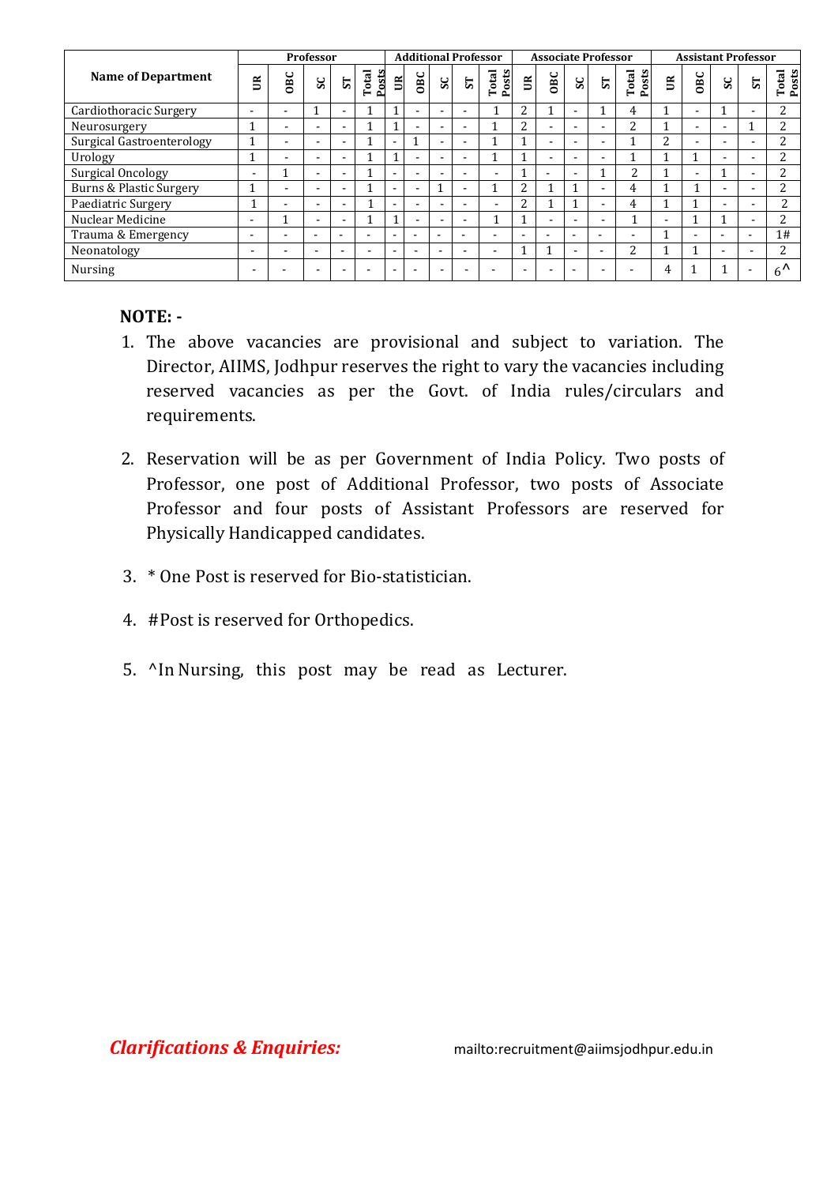|                                    |                          | <b>Professor</b>         |                          |                          |                          | <b>Additional Professor</b> |                          |                          |                          |                          | <b>Associate Professor</b> |                          |                          |                          |                          | <b>Assistant Professor</b> |                          |                          |                |                           |
|------------------------------------|--------------------------|--------------------------|--------------------------|--------------------------|--------------------------|-----------------------------|--------------------------|--------------------------|--------------------------|--------------------------|----------------------------|--------------------------|--------------------------|--------------------------|--------------------------|----------------------------|--------------------------|--------------------------|----------------|---------------------------|
| Name of Department                 | $\mathbb{E}$             | 0BC                      | SC                       | $\overline{\mathbf{s}}$  | Posts<br>otal<br>⊢       | $\mathbb{B}$                | OBC                      | $\mathbf{s}$             | $\overline{\mathbf{s}}$  | Posts<br>Total           | $\widetilde{\Xi}$          | <b>OBC</b>               | SC                       | 5T                       | Posts<br>otal<br>E.      | $\widetilde{\Xi}$          | OBC                      | SC                       | 57             | Total<br>Posts            |
| Cardiothoracic Surgery             | $\overline{\phantom{a}}$ | $\overline{\phantom{0}}$ |                          | $\overline{\phantom{a}}$ |                          |                             |                          | $\overline{\phantom{a}}$ |                          |                          | 2                          |                          |                          |                          | 4                        |                            | $\overline{\phantom{a}}$ |                          |                |                           |
| Neurosurgery                       |                          |                          |                          | $\overline{\phantom{0}}$ |                          |                             |                          | $\overline{\phantom{a}}$ |                          |                          | っ                          | $\overline{\phantom{a}}$ | $\overline{\phantom{0}}$ | $\overline{\phantom{0}}$ | C                        |                            | $\overline{\phantom{0}}$ | $\overline{\phantom{0}}$ |                | C.                        |
| <b>Surgical Gastroenterology</b>   |                          |                          |                          | $\overline{\phantom{a}}$ |                          | $\overline{\phantom{a}}$    |                          | $\blacksquare$           | -                        |                          |                            | $\overline{\phantom{0}}$ | $\overline{\phantom{0}}$ | $\overline{\phantom{0}}$ |                          | C.                         | $\overline{\phantom{a}}$ | -                        |                | n.                        |
| Urology                            |                          |                          |                          | $\overline{\phantom{0}}$ |                          |                             |                          | $\overline{a}$           |                          |                          | ۰                          | -                        |                          |                          |                          |                            |                          | $\overline{\phantom{a}}$ |                | ŋ,                        |
| Surgical Oncology                  | $\overline{\phantom{a}}$ |                          | $\overline{\phantom{0}}$ | $\overline{\phantom{a}}$ |                          | $\overline{\phantom{a}}$    |                          | $\overline{\phantom{a}}$ | $\overline{\phantom{a}}$ | $\overline{\phantom{a}}$ |                            | $\overline{\phantom{0}}$ | $\overline{\phantom{0}}$ |                          | $\overline{a}$           |                            | $\overline{\phantom{a}}$ |                          | -              | c                         |
| <b>Burns &amp; Plastic Surgery</b> |                          | $\overline{\phantom{a}}$ |                          | $\overline{\phantom{a}}$ |                          | $\overline{\phantom{a}}$    | $\overline{\phantom{0}}$ |                          |                          |                          | っ                          |                          |                          | $\overline{\phantom{a}}$ | 4                        |                            |                          | $\overline{\phantom{a}}$ |                | c                         |
| Paediatric Surgery                 |                          | $\overline{\phantom{0}}$ | $\overline{\phantom{a}}$ | $\overline{\phantom{a}}$ |                          | $\overline{\phantom{a}}$    | ۰.                       | $\overline{\phantom{a}}$ | $\overline{\phantom{a}}$ | $\overline{\phantom{a}}$ | 2                          |                          |                          | $\overline{\phantom{a}}$ | 4                        |                            |                          | -                        | -              | <sup>n</sup>              |
| Nuclear Medicine                   | $\overline{\phantom{0}}$ |                          |                          | $\overline{\phantom{a}}$ |                          |                             |                          | $\overline{\phantom{a}}$ | $\overline{\phantom{a}}$ |                          |                            | $\overline{\phantom{0}}$ | $\overline{\phantom{0}}$ | $\overline{\phantom{0}}$ |                          | $\overline{\phantom{0}}$   |                          |                          |                | c                         |
| Trauma & Emergency                 | $\overline{\phantom{0}}$ | $\overline{\phantom{0}}$ | $\overline{\phantom{a}}$ | $\overline{\phantom{0}}$ | -                        | $\overline{\phantom{a}}$    |                          | $\overline{\phantom{0}}$ | $\overline{\phantom{0}}$ | $\overline{\phantom{a}}$ | $\overline{\phantom{a}}$   | $\overline{\phantom{0}}$ | $\overline{\phantom{a}}$ | $\overline{\phantom{0}}$ | $\overline{\phantom{a}}$ |                            | $\overline{\phantom{0}}$ | $\overline{\phantom{a}}$ | $\blacksquare$ | 1#                        |
| Neonatology                        | $\blacksquare$           | $\overline{\phantom{0}}$ |                          | $\overline{\phantom{a}}$ | $\overline{\phantom{0}}$ | $\overline{\phantom{0}}$    |                          | $\overline{a}$           |                          | $\overline{\phantom{0}}$ |                            |                          | $\overline{\phantom{a}}$ | $\overline{\phantom{a}}$ | 2                        |                            |                          |                          |                | C                         |
| Nursing                            |                          |                          |                          |                          |                          |                             |                          |                          |                          |                          |                            |                          |                          |                          |                          |                            |                          |                          | ۰              | $\epsilon$ $\Lambda$<br>h |

## **NOTE: -**

- 1. The above vacancies are provisional and subject to variation. The Director, AIIMS, Jodhpur reserves the right to vary the vacancies including reserved vacancies as per the Govt. of India rules/circulars and requirements.
- 2. Reservation will be as per Government of India Policy. Two posts of Professor, one post of Additional Professor, two posts of Associate Professor and four posts of Assistant Professors are reserved for Physically Handicapped candidates.
- 3. \* One Post is reserved for Bio-statistician.
- 4. #Post is reserved for Orthopedics.
- 5. ^In Nursing, this post may be read as Lecturer.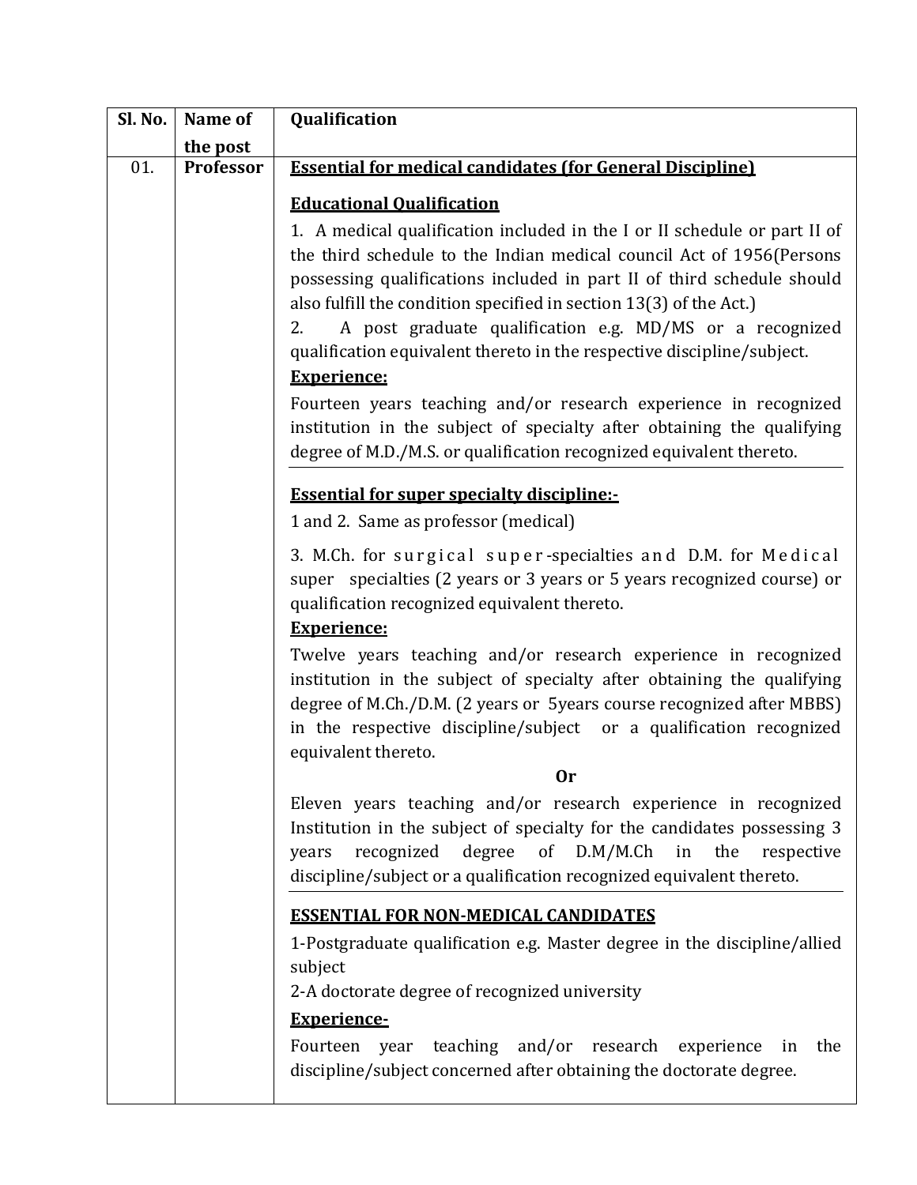| Sl. No. | Name of   | Qualification                                                                                                                                                                                                                                                                                                                                                                                                                                 |
|---------|-----------|-----------------------------------------------------------------------------------------------------------------------------------------------------------------------------------------------------------------------------------------------------------------------------------------------------------------------------------------------------------------------------------------------------------------------------------------------|
|         | the post  |                                                                                                                                                                                                                                                                                                                                                                                                                                               |
| 01.     | Professor | <b>Essential for medical candidates (for General Discipline)</b>                                                                                                                                                                                                                                                                                                                                                                              |
|         |           | <b>Educational Qualification</b>                                                                                                                                                                                                                                                                                                                                                                                                              |
|         |           | 1. A medical qualification included in the I or II schedule or part II of<br>the third schedule to the Indian medical council Act of 1956(Persons<br>possessing qualifications included in part II of third schedule should<br>also fulfill the condition specified in section 13(3) of the Act.)<br>A post graduate qualification e.g. MD/MS or a recognized<br>2.<br>qualification equivalent thereto in the respective discipline/subject. |
|         |           | <b>Experience:</b>                                                                                                                                                                                                                                                                                                                                                                                                                            |
|         |           | Fourteen years teaching and/or research experience in recognized<br>institution in the subject of specialty after obtaining the qualifying<br>degree of M.D./M.S. or qualification recognized equivalent thereto.                                                                                                                                                                                                                             |
|         |           | <b>Essential for super specialty discipline:-</b>                                                                                                                                                                                                                                                                                                                                                                                             |
|         |           | 1 and 2. Same as professor (medical)                                                                                                                                                                                                                                                                                                                                                                                                          |
|         |           | 3. M.Ch. for surgical super-specialties and D.M. for Medical<br>super specialties (2 years or 3 years or 5 years recognized course) or<br>qualification recognized equivalent thereto.<br><b>Experience:</b>                                                                                                                                                                                                                                  |
|         |           | Twelve years teaching and/or research experience in recognized<br>institution in the subject of specialty after obtaining the qualifying<br>degree of M.Ch./D.M. (2 years or 5 years course recognized after MBBS)<br>in the respective discipline/subject or a qualification recognized<br>equivalent thereto.                                                                                                                               |
|         |           | 0r                                                                                                                                                                                                                                                                                                                                                                                                                                            |
|         |           | Eleven years teaching and/or research experience in recognized<br>Institution in the subject of specialty for the candidates possessing 3<br>recognized degree of D.M/M.Ch in<br>the<br>respective<br>years<br>discipline/subject or a qualification recognized equivalent thereto.                                                                                                                                                           |
|         |           | <b>ESSENTIAL FOR NON-MEDICAL CANDIDATES</b>                                                                                                                                                                                                                                                                                                                                                                                                   |
|         |           | 1-Postgraduate qualification e.g. Master degree in the discipline/allied<br>subject                                                                                                                                                                                                                                                                                                                                                           |
|         |           | 2-A doctorate degree of recognized university                                                                                                                                                                                                                                                                                                                                                                                                 |
|         |           | <b>Experience-</b><br>Fourteen year teaching and/or research experience<br>the<br>in<br>discipline/subject concerned after obtaining the doctorate degree.                                                                                                                                                                                                                                                                                    |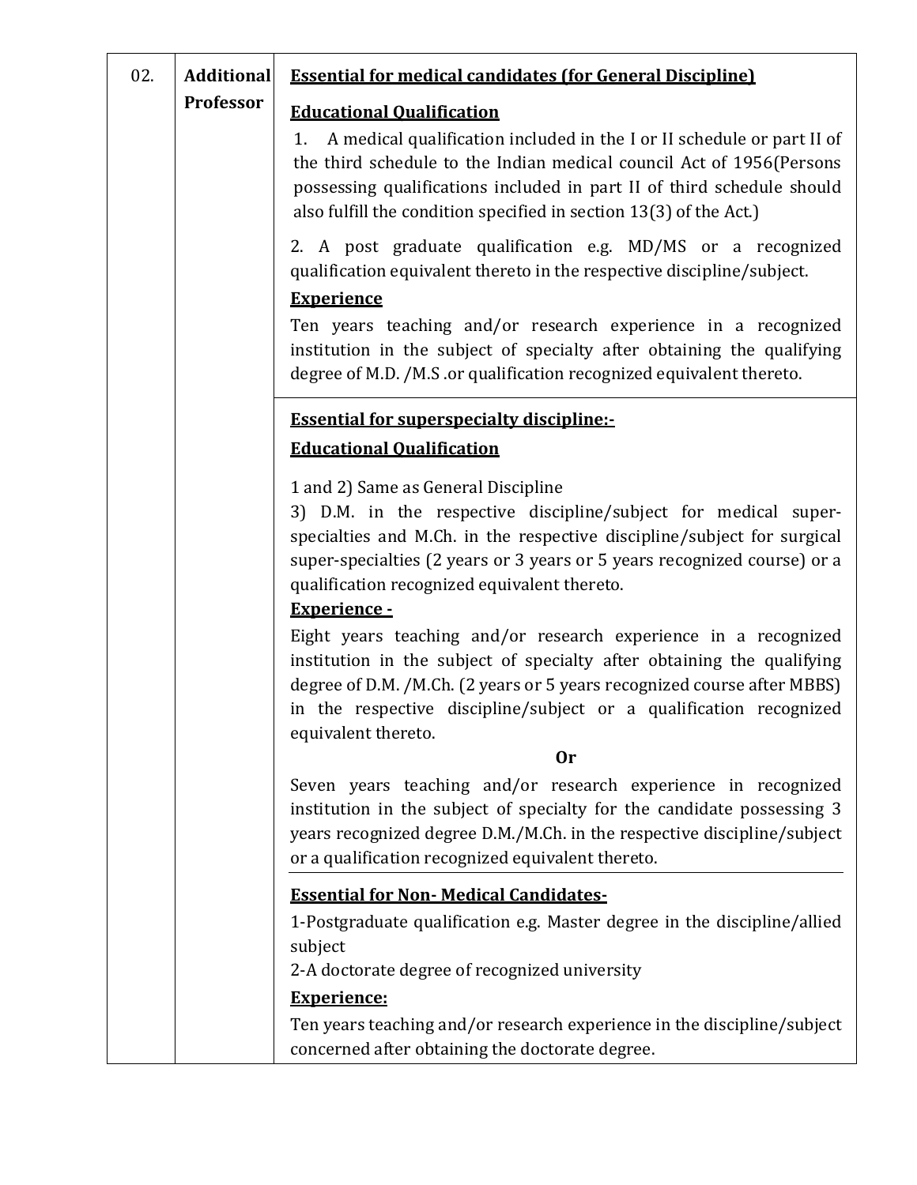| 02. | <b>Additional</b> | <b>Essential for medical candidates (for General Discipline)</b>                                                                                                                                                                                                                                                  |  |  |  |  |  |  |  |
|-----|-------------------|-------------------------------------------------------------------------------------------------------------------------------------------------------------------------------------------------------------------------------------------------------------------------------------------------------------------|--|--|--|--|--|--|--|
|     | Professor         | <b>Educational Qualification</b>                                                                                                                                                                                                                                                                                  |  |  |  |  |  |  |  |
|     |                   | A medical qualification included in the I or II schedule or part II of<br>1.<br>the third schedule to the Indian medical council Act of 1956(Persons<br>possessing qualifications included in part II of third schedule should<br>also fulfill the condition specified in section 13(3) of the Act.)              |  |  |  |  |  |  |  |
|     |                   | 2. A post graduate qualification e.g. MD/MS or a recognized<br>qualification equivalent thereto in the respective discipline/subject.                                                                                                                                                                             |  |  |  |  |  |  |  |
|     |                   | <b>Experience</b>                                                                                                                                                                                                                                                                                                 |  |  |  |  |  |  |  |
|     |                   | Ten years teaching and/or research experience in a recognized<br>institution in the subject of specialty after obtaining the qualifying<br>degree of M.D. /M.S .or qualification recognized equivalent thereto.                                                                                                   |  |  |  |  |  |  |  |
|     |                   | <b>Essential for superspecialty discipline:-</b>                                                                                                                                                                                                                                                                  |  |  |  |  |  |  |  |
|     |                   | <b>Educational Qualification</b>                                                                                                                                                                                                                                                                                  |  |  |  |  |  |  |  |
|     |                   | 1 and 2) Same as General Discipline                                                                                                                                                                                                                                                                               |  |  |  |  |  |  |  |
|     |                   | 3) D.M. in the respective discipline/subject for medical super-                                                                                                                                                                                                                                                   |  |  |  |  |  |  |  |
|     |                   | specialties and M.Ch. in the respective discipline/subject for surgical<br>super-specialties (2 years or 3 years or 5 years recognized course) or a                                                                                                                                                               |  |  |  |  |  |  |  |
|     |                   | qualification recognized equivalent thereto.                                                                                                                                                                                                                                                                      |  |  |  |  |  |  |  |
|     |                   | Experience -                                                                                                                                                                                                                                                                                                      |  |  |  |  |  |  |  |
|     |                   | Eight years teaching and/or research experience in a recognized<br>institution in the subject of specialty after obtaining the qualifying<br>degree of D.M. /M.Ch. (2 years or 5 years recognized course after MBBS)<br>in the respective discipline/subject or a qualification recognized<br>equivalent thereto. |  |  |  |  |  |  |  |
|     |                   | 0r                                                                                                                                                                                                                                                                                                                |  |  |  |  |  |  |  |
|     |                   | Seven years teaching and/or research experience in recognized<br>institution in the subject of specialty for the candidate possessing 3<br>years recognized degree D.M./M.Ch. in the respective discipline/subject<br>or a qualification recognized equivalent thereto.                                           |  |  |  |  |  |  |  |
|     |                   | <b>Essential for Non-Medical Candidates-</b>                                                                                                                                                                                                                                                                      |  |  |  |  |  |  |  |
|     |                   | 1-Postgraduate qualification e.g. Master degree in the discipline/allied<br>subject                                                                                                                                                                                                                               |  |  |  |  |  |  |  |
|     |                   | 2-A doctorate degree of recognized university                                                                                                                                                                                                                                                                     |  |  |  |  |  |  |  |
|     |                   | <b>Experience:</b>                                                                                                                                                                                                                                                                                                |  |  |  |  |  |  |  |
|     |                   | Ten years teaching and/or research experience in the discipline/subject<br>concerned after obtaining the doctorate degree.                                                                                                                                                                                        |  |  |  |  |  |  |  |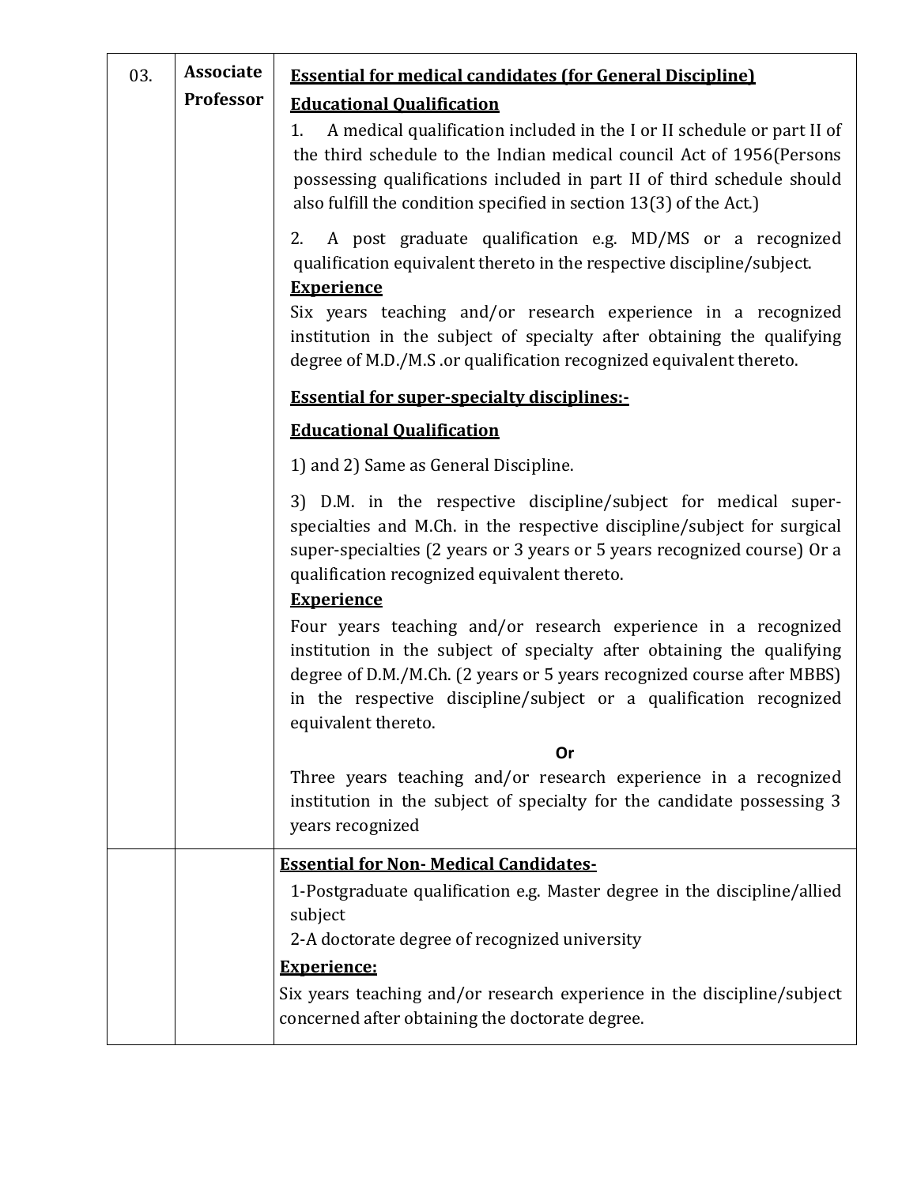| 03. | <b>Associate</b><br>Professor | <b>Essential for medical candidates (for General Discipline)</b><br><b>Educational Qualification</b><br>A medical qualification included in the I or II schedule or part II of<br>1.<br>the third schedule to the Indian medical council Act of 1956(Persons<br>possessing qualifications included in part II of third schedule should<br>also fulfill the condition specified in section 13(3) of the Act.) |
|-----|-------------------------------|--------------------------------------------------------------------------------------------------------------------------------------------------------------------------------------------------------------------------------------------------------------------------------------------------------------------------------------------------------------------------------------------------------------|
|     |                               | A post graduate qualification e.g. MD/MS or a recognized<br>2.<br>qualification equivalent thereto in the respective discipline/subject.<br><b>Experience</b><br>Six years teaching and/or research experience in a recognized<br>institution in the subject of specialty after obtaining the qualifying<br>degree of M.D./M.S .or qualification recognized equivalent thereto.                              |
|     |                               | <b>Essential for super-specialty disciplines:-</b>                                                                                                                                                                                                                                                                                                                                                           |
|     |                               | <b>Educational Qualification</b>                                                                                                                                                                                                                                                                                                                                                                             |
|     |                               | 1) and 2) Same as General Discipline.                                                                                                                                                                                                                                                                                                                                                                        |
|     |                               | 3) D.M. in the respective discipline/subject for medical super-<br>specialties and M.Ch. in the respective discipline/subject for surgical<br>super-specialties (2 years or 3 years or 5 years recognized course) Or a<br>qualification recognized equivalent thereto.                                                                                                                                       |
|     |                               | <b>Experience</b>                                                                                                                                                                                                                                                                                                                                                                                            |
|     |                               | Four years teaching and/or research experience in a recognized<br>institution in the subject of specialty after obtaining the qualifying<br>degree of D.M./M.Ch. (2 years or 5 years recognized course after MBBS)<br>in the respective discipline/subject or a qualification recognized<br>equivalent thereto.                                                                                              |
|     |                               | Or                                                                                                                                                                                                                                                                                                                                                                                                           |
|     |                               | Three years teaching and/or research experience in a recognized<br>institution in the subject of specialty for the candidate possessing 3<br>years recognized                                                                                                                                                                                                                                                |
|     |                               | <b>Essential for Non- Medical Candidates-</b>                                                                                                                                                                                                                                                                                                                                                                |
|     |                               | 1-Postgraduate qualification e.g. Master degree in the discipline/allied<br>subject                                                                                                                                                                                                                                                                                                                          |
|     |                               | 2-A doctorate degree of recognized university                                                                                                                                                                                                                                                                                                                                                                |
|     |                               | <b>Experience:</b><br>Six years teaching and/or research experience in the discipline/subject<br>concerned after obtaining the doctorate degree.                                                                                                                                                                                                                                                             |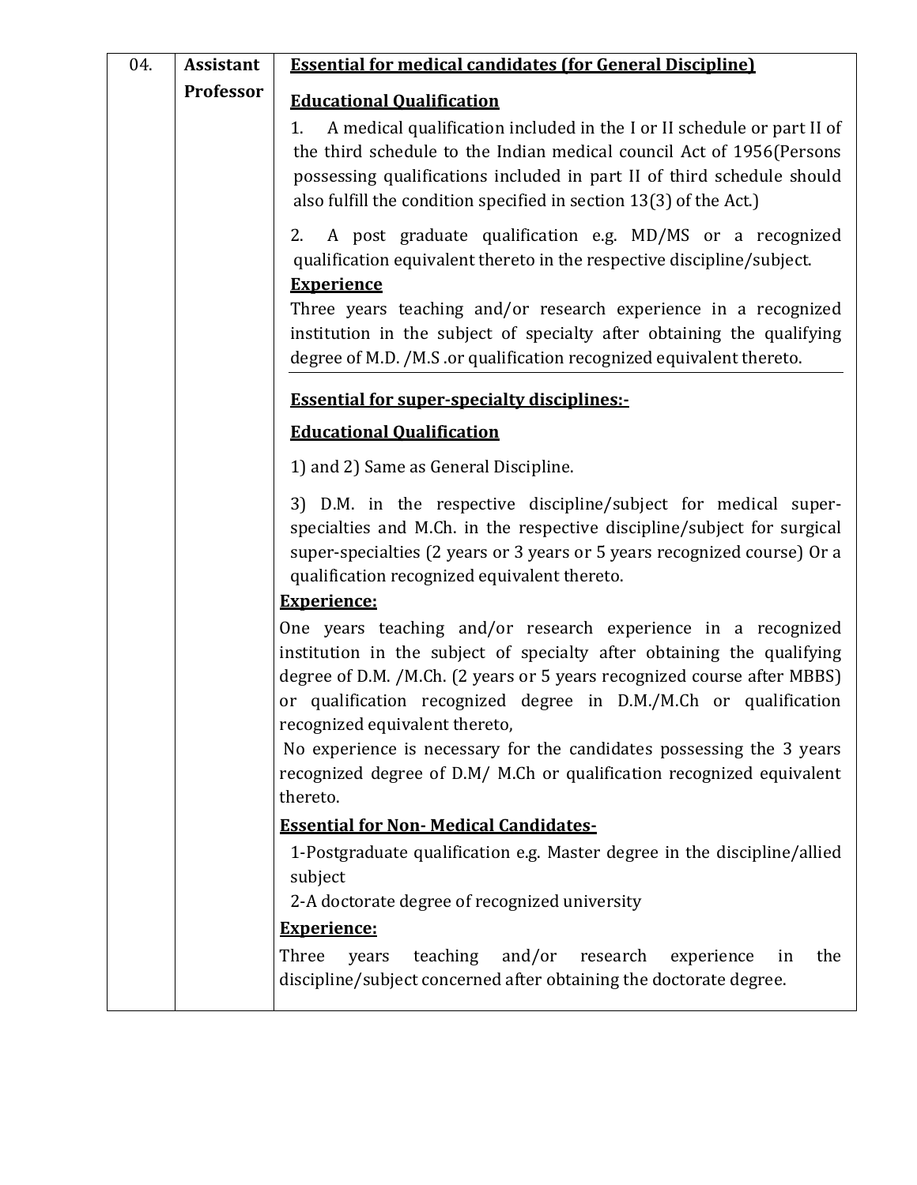| 04. | <b>Assistant</b> | <b>Essential for medical candidates (for General Discipline)</b>                                                                                                                                                                                                                                                         |
|-----|------------------|--------------------------------------------------------------------------------------------------------------------------------------------------------------------------------------------------------------------------------------------------------------------------------------------------------------------------|
|     | Professor        | <b>Educational Qualification</b>                                                                                                                                                                                                                                                                                         |
|     |                  | A medical qualification included in the I or II schedule or part II of<br>1.<br>the third schedule to the Indian medical council Act of 1956(Persons<br>possessing qualifications included in part II of third schedule should<br>also fulfill the condition specified in section 13(3) of the Act.)                     |
|     |                  | A post graduate qualification e.g. MD/MS or a recognized<br>2.<br>qualification equivalent thereto in the respective discipline/subject.<br><b>Experience</b>                                                                                                                                                            |
|     |                  | Three years teaching and/or research experience in a recognized<br>institution in the subject of specialty after obtaining the qualifying<br>degree of M.D. /M.S .or qualification recognized equivalent thereto.                                                                                                        |
|     |                  | <b>Essential for super-specialty disciplines:-</b>                                                                                                                                                                                                                                                                       |
|     |                  | <b>Educational Qualification</b>                                                                                                                                                                                                                                                                                         |
|     |                  | 1) and 2) Same as General Discipline.                                                                                                                                                                                                                                                                                    |
|     |                  | 3) D.M. in the respective discipline/subject for medical super-<br>specialties and M.Ch. in the respective discipline/subject for surgical<br>super-specialties (2 years or 3 years or 5 years recognized course) Or a<br>qualification recognized equivalent thereto.                                                   |
|     |                  | <b>Experience:</b>                                                                                                                                                                                                                                                                                                       |
|     |                  | One years teaching and/or research experience in a recognized<br>institution in the subject of specialty after obtaining the qualifying<br>degree of D.M. /M.Ch. (2 years or 5 years recognized course after MBBS)<br>or qualification recognized degree in D.M./M.Ch or qualification<br>recognized equivalent thereto, |
|     |                  | No experience is necessary for the candidates possessing the 3 years<br>recognized degree of D.M/ M.Ch or qualification recognized equivalent<br>thereto.                                                                                                                                                                |
|     |                  | <b>Essential for Non- Medical Candidates-</b>                                                                                                                                                                                                                                                                            |
|     |                  | 1-Postgraduate qualification e.g. Master degree in the discipline/allied<br>subject                                                                                                                                                                                                                                      |
|     |                  | 2-A doctorate degree of recognized university                                                                                                                                                                                                                                                                            |
|     |                  | <b>Experience:</b>                                                                                                                                                                                                                                                                                                       |
|     |                  | Three<br>teaching<br>and/or<br>research<br>the<br>experience<br>years<br>in<br>discipline/subject concerned after obtaining the doctorate degree.                                                                                                                                                                        |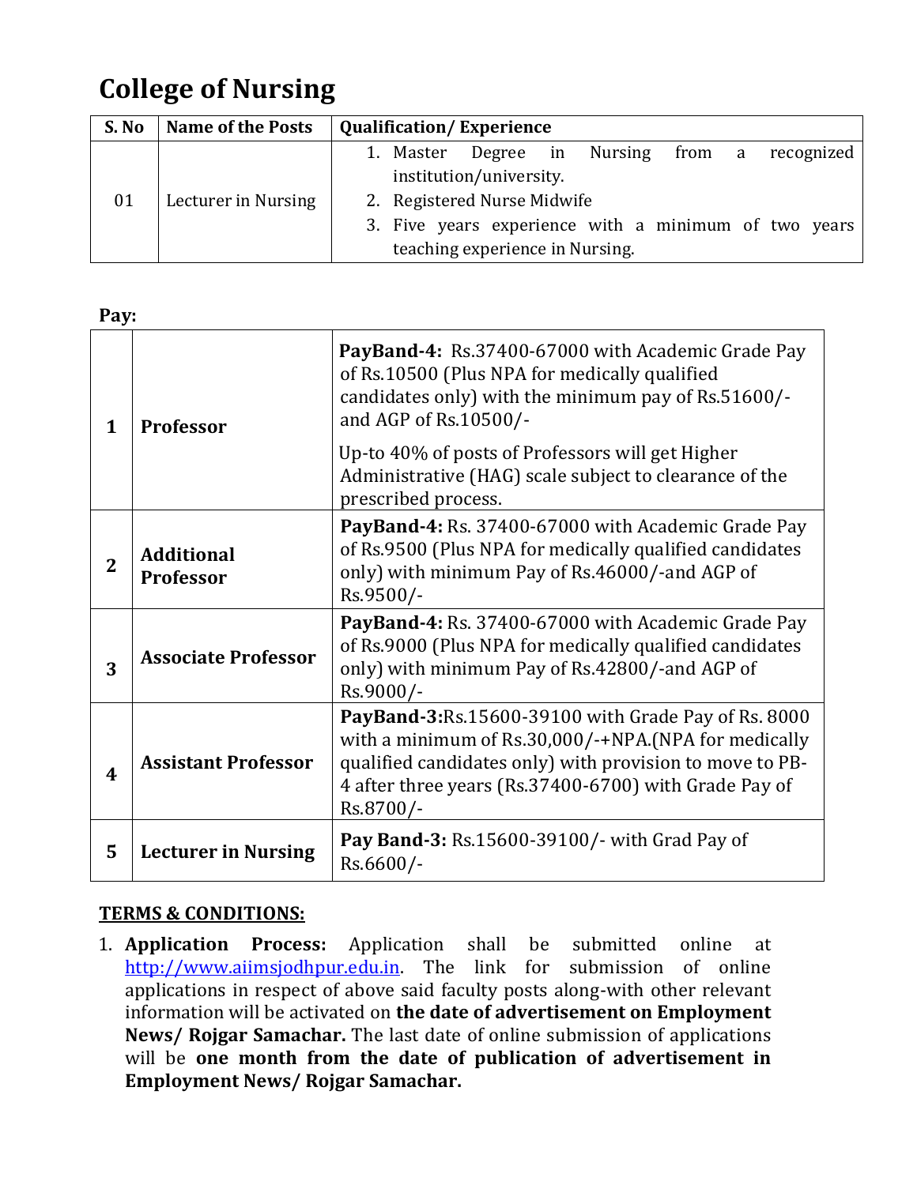# **College of Nursing**

| S. No | <b>Name of the Posts</b> | <b>Qualification/Experience</b>                      |
|-------|--------------------------|------------------------------------------------------|
| 01    | Lecturer in Nursing      | 1. Master Degree in Nursing from a recognized        |
|       |                          | institution/university.                              |
|       |                          | 2. Registered Nurse Midwife                          |
|       |                          | 3. Five years experience with a minimum of two years |
|       |                          | teaching experience in Nursing.                      |

**Pay:**

| 1                       | <b>Professor</b>                      | PayBand-4: Rs.37400-67000 with Academic Grade Pay<br>of Rs.10500 (Plus NPA for medically qualified<br>candidates only) with the minimum pay of Rs.51600/-<br>and AGP of Rs.10500/-                                                            |
|-------------------------|---------------------------------------|-----------------------------------------------------------------------------------------------------------------------------------------------------------------------------------------------------------------------------------------------|
|                         |                                       | Up-to 40% of posts of Professors will get Higher<br>Administrative (HAG) scale subject to clearance of the<br>prescribed process.                                                                                                             |
| $\overline{2}$          | <b>Additional</b><br><b>Professor</b> | PayBand-4: Rs. 37400-67000 with Academic Grade Pay<br>of Rs.9500 (Plus NPA for medically qualified candidates<br>only) with minimum Pay of Rs.46000/-and AGP of<br>Rs.9500/-                                                                  |
| 3                       | <b>Associate Professor</b>            | PayBand-4: Rs. 37400-67000 with Academic Grade Pay<br>of Rs.9000 (Plus NPA for medically qualified candidates<br>only) with minimum Pay of Rs.42800/-and AGP of<br>Rs.9000/-                                                                  |
| $\overline{\mathbf{4}}$ | <b>Assistant Professor</b>            | PayBand-3:Rs.15600-39100 with Grade Pay of Rs. 8000<br>with a minimum of Rs.30,000/-+NPA.(NPA for medically<br>qualified candidates only) with provision to move to PB-<br>4 after three years (Rs.37400-6700) with Grade Pay of<br>Rs.8700/- |
| 5                       | <b>Lecturer in Nursing</b>            | Pay Band-3: Rs.15600-39100/- with Grad Pay of<br>Rs.6600/-                                                                                                                                                                                    |

## **TERMS & CONDITIONS:**

1. **Application Process:** Application shall be submitted online at [http://www.aiimsjodhpur.edu.in.](http://www.aiimsjodhpur.edu.in/) The link for submission of online applications in respect of above said faculty posts along-with other relevant information will be activated on **the date of advertisement on Employment News/ Rojgar Samachar.** The last date of online submission of applications will be **one month from the date of publication of advertisement in Employment News/ Rojgar Samachar.**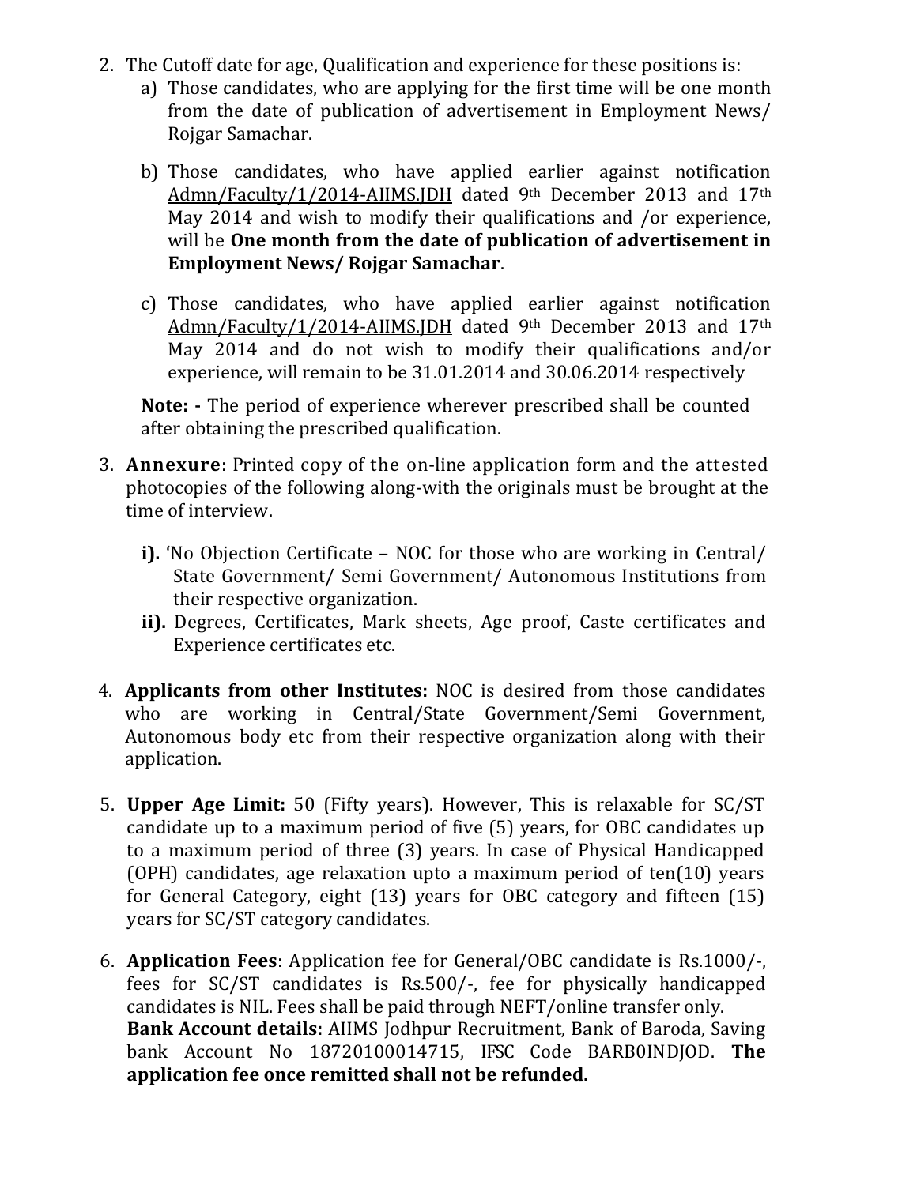- 2. The Cutoff date for age, Qualification and experience for these positions is:
	- a) Those candidates, who are applying for the first time will be one month from the date of publication of advertisement in Employment News/ Rojgar Samachar.
	- b) Those candidates, who have applied earlier against notification Admn/Faculty/1/2014-AIIMS.JDH dated 9th December 2013 and 17th May 2014 and wish to modify their qualifications and /or experience, will be **One month from the date of publication of advertisement in Employment News/ Rojgar Samachar**.
	- c) Those candidates, who have applied earlier against notification Admn/Faculty/1/2014-AIIMS.JDH dated 9th December 2013 and 17th May 2014 and do not wish to modify their qualifications and/or experience, will remain to be 31.01.2014 and 30.06.2014 respectively

**Note: -** The period of experience wherever prescribed shall be counted after obtaining the prescribed qualification.

- 3. **Annexure**: Printed copy of the on-line application form and the attested photocopies of the following along-with the originals must be brought at the time of interview.
	- **i).** 'No Objection Certificate NOC for those who are working in Central/ State Government/ Semi Government/ Autonomous Institutions from their respective organization.
	- **ii).** Degrees, Certificates, Mark sheets, Age proof, Caste certificates and Experience certificates etc.
- 4. **Applicants from other Institutes:** NOC is desired from those candidates who are working in Central/State Government/Semi Government, Autonomous body etc from their respective organization along with their application.
- 5. **Upper Age Limit:** 50 (Fifty years). However, This is relaxable for SC/ST candidate up to a maximum period of five (5) years, for OBC candidates up to a maximum period of three (3) years. In case of Physical Handicapped (OPH) candidates, age relaxation upto a maximum period of ten(10) years for General Category, eight (13) years for OBC category and fifteen (15) years for SC/ST category candidates.
- 6. **Application Fees**: Application fee for General/OBC candidate is Rs.1000/-, fees for SC/ST candidates is Rs.500/-, fee for physically handicapped candidates is NIL. Fees shall be paid through NEFT/online transfer only. **Bank Account details:** AIIMS Jodhpur Recruitment, Bank of Baroda, Saving bank Account No 18720100014715, IFSC Code BARB0INDJOD. **The application fee once remitted shall not be refunded.**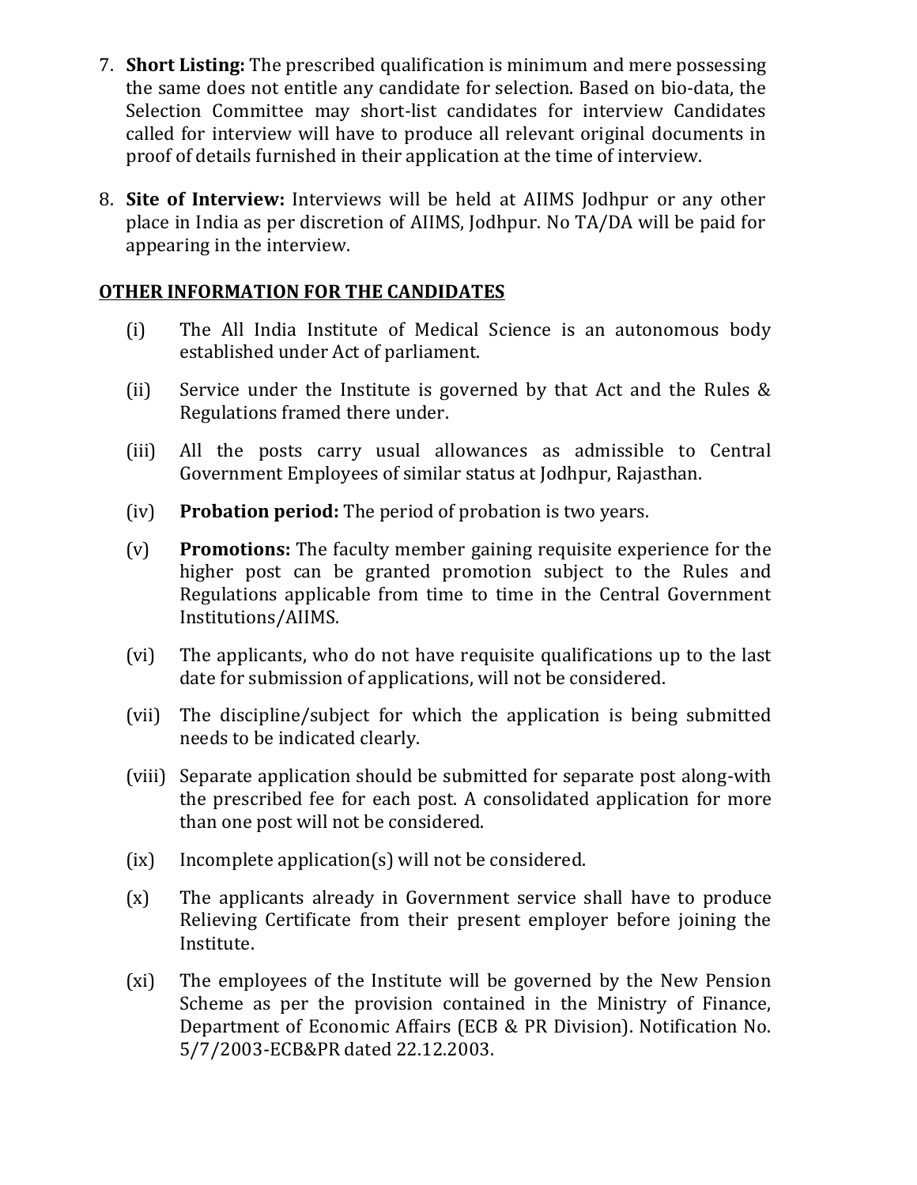- 7. **Short Listing:** The prescribed qualification is minimum and mere possessing the same does not entitle any candidate for selection. Based on bio-data, the Selection Committee may short-list candidates for interview Candidates called for interview will have to produce all relevant original documents in proof of details furnished in their application at the time of interview.
- 8. **Site of Interview:** Interviews will be held at AIIMS Jodhpur or any other place in India as per discretion of AIIMS, Jodhpur. No TA/DA will be paid for appearing in the interview.

### **OTHER INFORMATION FOR THE CANDIDATES**

- (i) The All India Institute of Medical Science is an autonomous body established under Act of parliament.
- (ii) Service under the Institute is governed by that Act and the Rules & Regulations framed there under.
- (iii) All the posts carry usual allowances as admissible to Central Government Employees of similar status at Jodhpur, Rajasthan.
- (iv) **Probation period:** The period of probation is two years.
- (v) **Promotions:** The faculty member gaining requisite experience for the higher post can be granted promotion subject to the Rules and Regulations applicable from time to time in the Central Government Institutions/AIIMS.
- (vi) The applicants, who do not have requisite qualifications up to the last date for submission of applications, will not be considered.
- (vii) The discipline/subject for which the application is being submitted needs to be indicated clearly.
- (viii) Separate application should be submitted for separate post along-with the prescribed fee for each post. A consolidated application for more than one post will not be considered.
- (ix) Incomplete application(s) will not be considered.
- (x) The applicants already in Government service shall have to produce Relieving Certificate from their present employer before joining the Institute.
- (xi) The employees of the Institute will be governed by the New Pension Scheme as per the provision contained in the Ministry of Finance, Department of Economic Affairs (ECB & PR Division). Notification No. 5/7/2003-ECB&PR dated 22.12.2003.